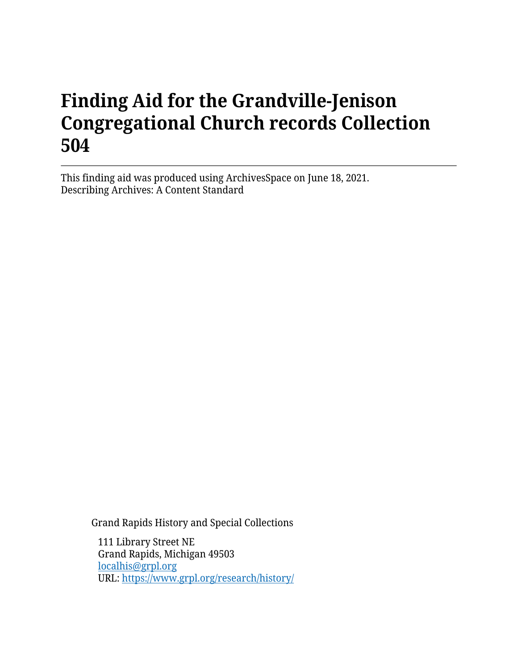# **Finding Aid for the Grandville-Jenison Congregational Church records Collection 504**

This finding aid was produced using ArchivesSpace on June 18, 2021. Describing Archives: A Content Standard

Grand Rapids History and Special Collections

111 Library Street NE Grand Rapids, Michigan 49503 [localhis@grpl.org](mailto:localhis@grpl.org) URL:<https://www.grpl.org/research/history/>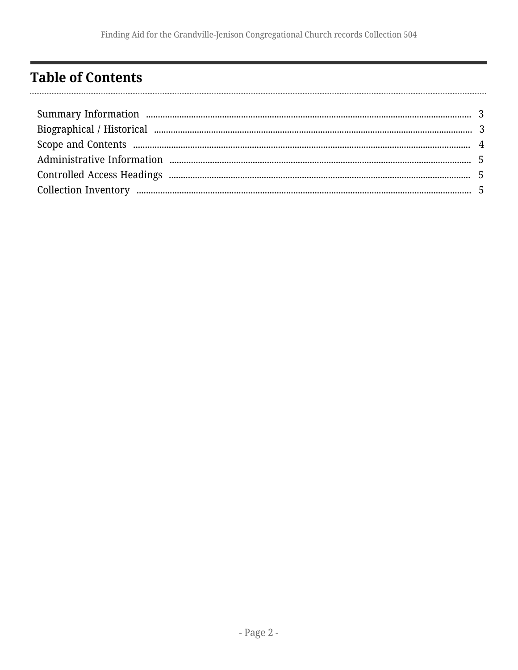# <span id="page-1-0"></span>**Table of Contents**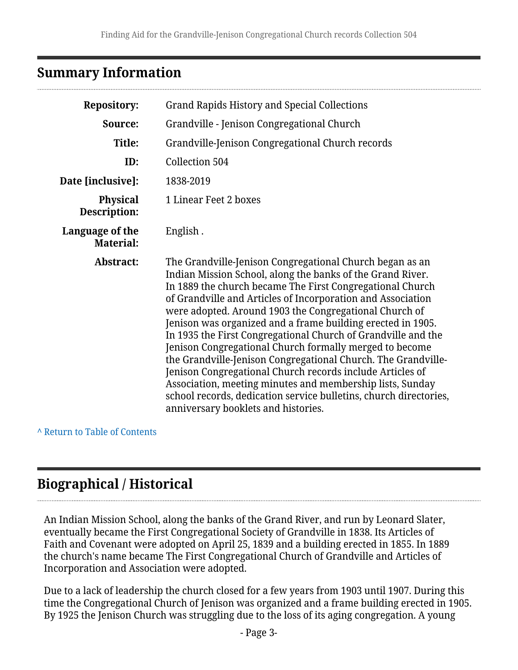### <span id="page-2-0"></span>**Summary Information**

| <b>Repository:</b>                  | <b>Grand Rapids History and Special Collections</b>                                                                                                                                                                                                                                                                                                                                                                                                                                                                                                                                                                                                                                                                                                                                                            |  |  |
|-------------------------------------|----------------------------------------------------------------------------------------------------------------------------------------------------------------------------------------------------------------------------------------------------------------------------------------------------------------------------------------------------------------------------------------------------------------------------------------------------------------------------------------------------------------------------------------------------------------------------------------------------------------------------------------------------------------------------------------------------------------------------------------------------------------------------------------------------------------|--|--|
| Source:                             | Grandville - Jenison Congregational Church                                                                                                                                                                                                                                                                                                                                                                                                                                                                                                                                                                                                                                                                                                                                                                     |  |  |
| <b>Title:</b>                       | Grandville-Jenison Congregational Church records                                                                                                                                                                                                                                                                                                                                                                                                                                                                                                                                                                                                                                                                                                                                                               |  |  |
| ID:                                 | Collection 504                                                                                                                                                                                                                                                                                                                                                                                                                                                                                                                                                                                                                                                                                                                                                                                                 |  |  |
| Date [inclusive]:                   | 1838-2019                                                                                                                                                                                                                                                                                                                                                                                                                                                                                                                                                                                                                                                                                                                                                                                                      |  |  |
| <b>Physical</b><br>Description:     | 1 Linear Feet 2 boxes                                                                                                                                                                                                                                                                                                                                                                                                                                                                                                                                                                                                                                                                                                                                                                                          |  |  |
| Language of the<br><b>Material:</b> | English.                                                                                                                                                                                                                                                                                                                                                                                                                                                                                                                                                                                                                                                                                                                                                                                                       |  |  |
| Abstract:                           | The Grandville-Jenison Congregational Church began as an<br>Indian Mission School, along the banks of the Grand River.<br>In 1889 the church became The First Congregational Church<br>of Grandville and Articles of Incorporation and Association<br>were adopted. Around 1903 the Congregational Church of<br>Jenison was organized and a frame building erected in 1905.<br>In 1935 the First Congregational Church of Grandville and the<br>Jenison Congregational Church formally merged to become<br>the Grandville-Jenison Congregational Church. The Grandville-<br>Jenison Congregational Church records include Articles of<br>Association, meeting minutes and membership lists, Sunday<br>school records, dedication service bulletins, church directories,<br>anniversary booklets and histories. |  |  |

**^** [Return to Table of Contents](#page-1-0)

# <span id="page-2-1"></span>**Biographical / Historical**

An Indian Mission School, along the banks of the Grand River, and run by Leonard Slater, eventually became the First Congregational Society of Grandville in 1838. Its Articles of Faith and Covenant were adopted on April 25, 1839 and a building erected in 1855. In 1889 the church's name became The First Congregational Church of Grandville and Articles of Incorporation and Association were adopted.

Due to a lack of leadership the church closed for a few years from 1903 until 1907. During this time the Congregational Church of Jenison was organized and a frame building erected in 1905. By 1925 the Jenison Church was struggling due to the loss of its aging congregation. A young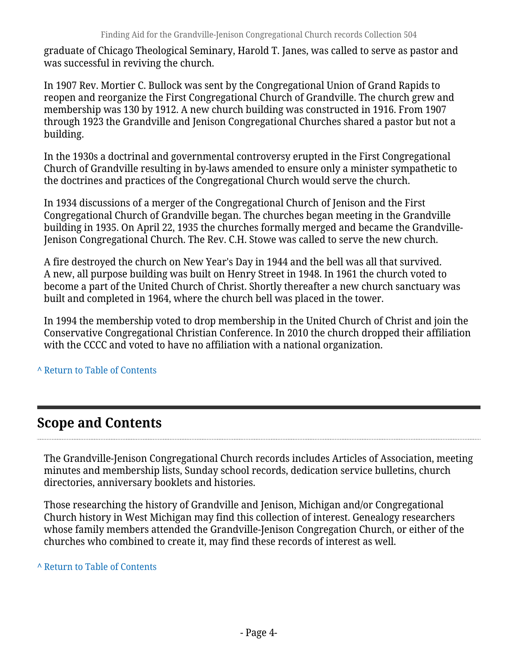graduate of Chicago Theological Seminary, Harold T. Janes, was called to serve as pastor and was successful in reviving the church.

In 1907 Rev. Mortier C. Bullock was sent by the Congregational Union of Grand Rapids to reopen and reorganize the First Congregational Church of Grandville. The church grew and membership was 130 by 1912. A new church building was constructed in 1916. From 1907 through 1923 the Grandville and Jenison Congregational Churches shared a pastor but not a building.

In the 1930s a doctrinal and governmental controversy erupted in the First Congregational Church of Grandville resulting in by-laws amended to ensure only a minister sympathetic to the doctrines and practices of the Congregational Church would serve the church.

In 1934 discussions of a merger of the Congregational Church of Jenison and the First Congregational Church of Grandville began. The churches began meeting in the Grandville building in 1935. On April 22, 1935 the churches formally merged and became the Grandville-Jenison Congregational Church. The Rev. C.H. Stowe was called to serve the new church.

A fire destroyed the church on New Year's Day in 1944 and the bell was all that survived. A new, all purpose building was built on Henry Street in 1948. In 1961 the church voted to become a part of the United Church of Christ. Shortly thereafter a new church sanctuary was built and completed in 1964, where the church bell was placed in the tower.

In 1994 the membership voted to drop membership in the United Church of Christ and join the Conservative Congregational Christian Conference. In 2010 the church dropped their affiliation with the CCCC and voted to have no affiliation with a national organization.

#### **^** [Return to Table of Contents](#page-1-0)

### <span id="page-3-0"></span>**Scope and Contents**

The Grandville-Jenison Congregational Church records includes Articles of Association, meeting minutes and membership lists, Sunday school records, dedication service bulletins, church directories, anniversary booklets and histories.

Those researching the history of Grandville and Jenison, Michigan and/or Congregational Church history in West Michigan may find this collection of interest. Genealogy researchers whose family members attended the Grandville-Jenison Congregation Church, or either of the churches who combined to create it, may find these records of interest as well.

**^** [Return to Table of Contents](#page-1-0)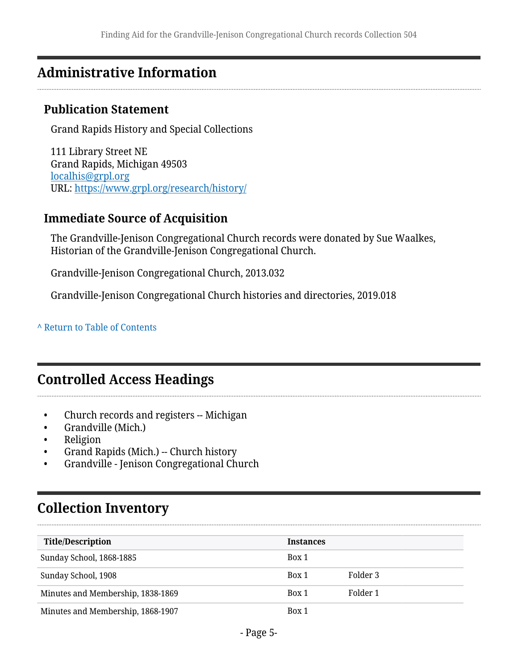### <span id="page-4-0"></span>**Administrative Information**

#### **Publication Statement**

Grand Rapids History and Special Collections

111 Library Street NE Grand Rapids, Michigan 49503 [localhis@grpl.org](mailto:localhis@grpl.org) URL:<https://www.grpl.org/research/history/>

#### **Immediate Source of Acquisition**

The Grandville-Jenison Congregational Church records were donated by Sue Waalkes, Historian of the Grandville-Jenison Congregational Church.

Grandville-Jenison Congregational Church, 2013.032

Grandville-Jenison Congregational Church histories and directories, 2019.018

#### **^** [Return to Table of Contents](#page-1-0)

### <span id="page-4-1"></span>**Controlled Access Headings**

- Church records and registers -- Michigan
- Grandville (Mich.)
- Religion
- Grand Rapids (Mich.) -- Church history
- Grandville Jenison Congregational Church

# <span id="page-4-2"></span>**Collection Inventory**

| <b>Title/Description</b>          | <b>Instances</b> |          |
|-----------------------------------|------------------|----------|
| Sunday School, 1868-1885          | Box 1            |          |
| Sunday School, 1908               | Box 1            | Folder 3 |
| Minutes and Membership, 1838-1869 | Box 1            | Folder 1 |
| Minutes and Membership, 1868-1907 | Box 1            |          |